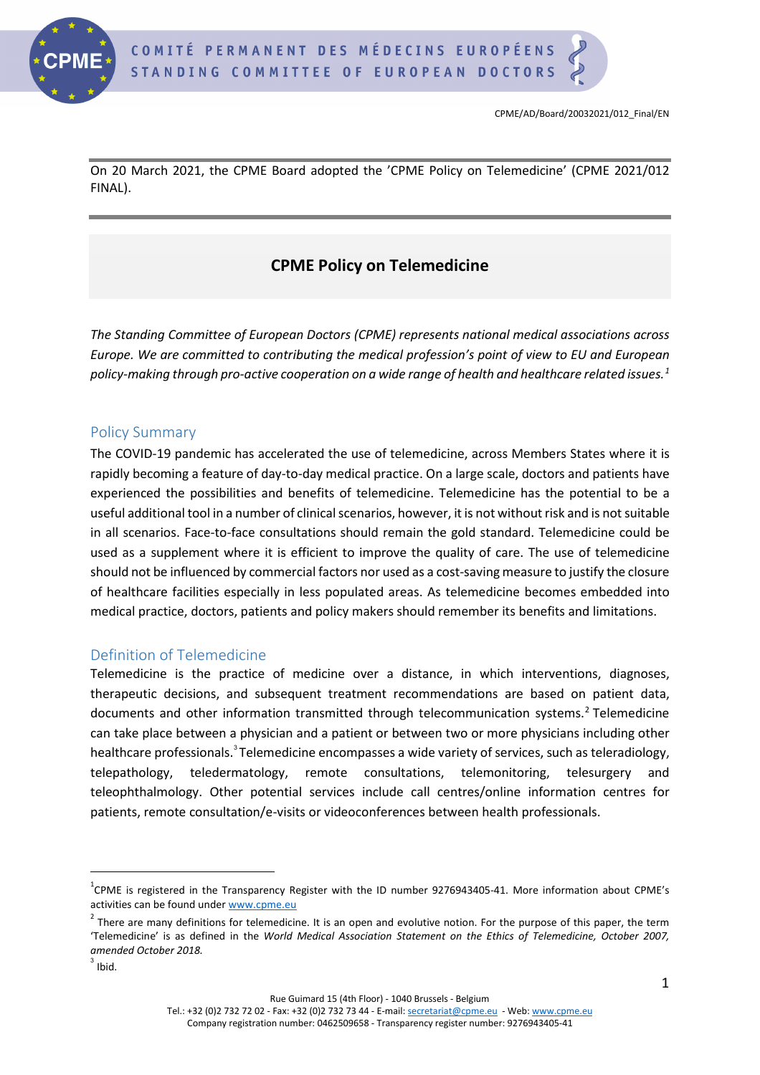

On 20 March 2021, the CPME Board adopted the 'CPME Policy on Telemedicine' (CPME 2021/012 FINAL).

# **CPME Policy on Telemedicine**

*The Standing Committee of European Doctors (CPME) represents national medical associations across Europe. We are committed to contributing the medical profession's point of view to EU and European policy-making through pro-active cooperation on a wide range of health and healthcare related issues. [1](#page-0-0)*

#### Policy Summary

The COVID-19 pandemic has accelerated the use of telemedicine, across Members States where it is rapidly becoming a feature of day-to-day medical practice. On a large scale, doctors and patients have experienced the possibilities and benefits of telemedicine. Telemedicine has the potential to be a useful additional tool in a number of clinical scenarios, however, it is not without risk and is not suitable in all scenarios. Face-to-face consultations should remain the gold standard. Telemedicine could be used as a supplement where it is efficient to improve the quality of care. The use of telemedicine should not be influenced by commercial factors nor used as a cost-saving measure to justify the closure of healthcare facilities especially in less populated areas. As telemedicine becomes embedded into medical practice, doctors, patients and policy makers should remember its benefits and limitations.

#### Definition of Telemedicine

Telemedicine is the practice of medicine over a distance, in which interventions, diagnoses, therapeutic decisions, and subsequent treatment recommendations are based on patient data, documents and other information transmitted through telecommunication systems.<sup>[2](#page-0-1)</sup> Telemedicine can take place between a physician and a patient or between two or more physicians including other healthcare professionals.<sup>[3](#page-0-2)</sup> Telemedicine encompasses a wide variety of services, such as teleradiology, telepathology, teledermatology, remote consultations, telemonitoring, telesurgery and teleophthalmology. Other potential services include call centres/online information centres for patients, remote consultation/e-visits or videoconferences between health professionals.

Rue Guimard 15 (4th Floor) - 1040 Brussels - Belgium

<span id="page-0-0"></span> $^{1}$ CPME is registered in the Transparency Register with the ID number 9276943405-41. More information about CPME's activities can be found under [www.cpme.eu](http://www.cpme.eu/)

<span id="page-0-1"></span> $2$  There are many definitions for telemedicine. It is an open and evolutive notion. For the purpose of this paper, the term 'Telemedicine' is as defined in the *World Medical Association Statement on the Ethics of Telemedicine, October 2007, amended October 2018.*

<span id="page-0-2"></span> $3$  Ibid.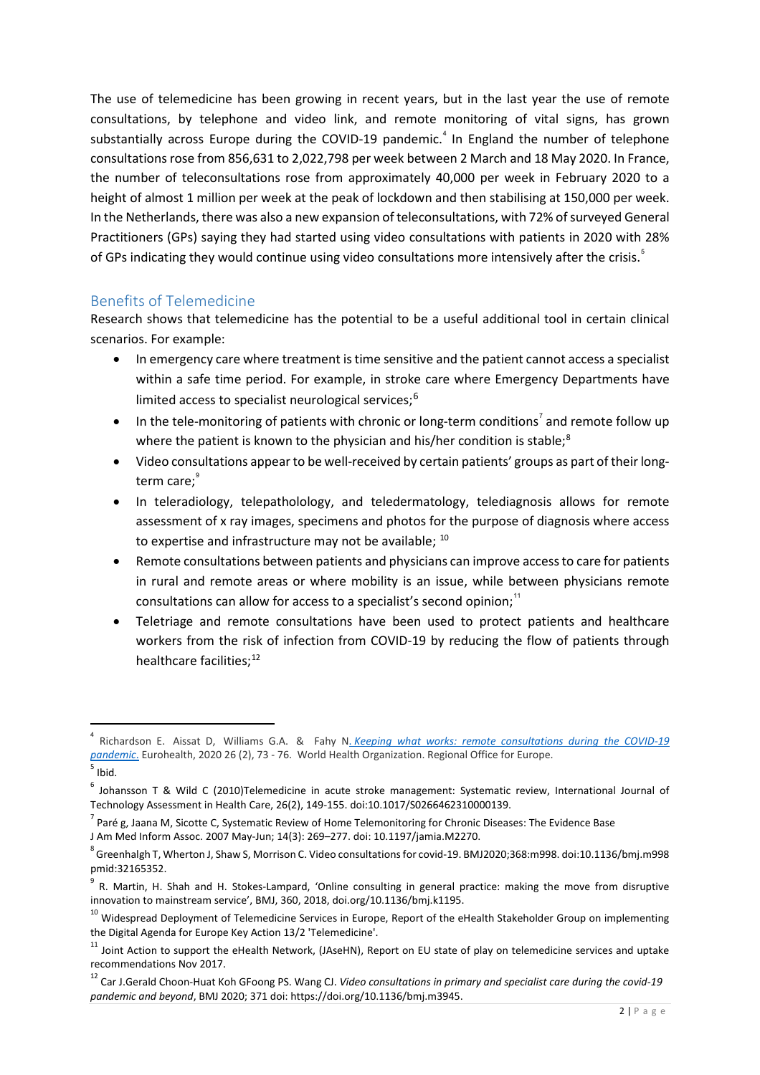The use of telemedicine has been growing in recent years, but in the last year the use of remote consultations, by telephone and video link, and remote monitoring of vital signs, has grown substantially across Europe during the COVID-19 pandemic.<sup>[4](#page-1-0)</sup> In England the number of telephone consultations rose from 856,631 to 2,022,798 per week between 2 March and 18 May 2020. In France, the number of teleconsultations rose from approximately 40,000 per week in February 2020 to a height of almost 1 million per week at the peak of lockdown and then stabilising at 150,000 per week. In the Netherlands, there was also a new expansion of teleconsultations, with 72% of surveyed General Practitioners (GPs) saying they had started using video consultations with patients in 2020 with 28% of GPs indicating they would continue using video consultations more intensively after the crisis.<sup>[5](#page-1-1)</sup>

### Benefits of Telemedicine

Research shows that telemedicine has the potential to be a useful additional tool in certain clinical scenarios. For example:

- In emergency care where treatment is time sensitive and the patient cannot access a specialist within a safe time period. For example, in stroke care where Emergency Departments have limited access to specialist neurological services; [6](#page-1-2)
- $\bullet$  In the tele-monitoring of patients with chronic or long-term conditions<sup>[7](#page-1-3)</sup> and remote follow up where the patient is known to the physician and his/her condition is stable;<sup>[8](#page-1-4)</sup>
- Video consultations appear to be well-received by certain patients' groups as part of their longterm care; $^\mathrm{\scriptscriptstyle 9}$  $^\mathrm{\scriptscriptstyle 9}$  $^\mathrm{\scriptscriptstyle 9}$
- In teleradiology, telepatholology, and teledermatology, telediagnosis allows for remote assessment of x ray images, specimens and photos for the purpose of diagnosis where access to expertise and infrastructure may not be available;  $10$
- Remote consultations between patients and physicians can improve access to care for patients in rural and remote areas or where mobility is an issue, while between physicians remote consultations can allow for access to a specialist's second opinion; $"$
- Teletriage and remote consultations have been used to protect patients and healthcare workers from the risk of infection from COVID-19 by reducing the flow of patients through healthcare facilities;<sup>[12](#page-1-8)</sup>

<span id="page-1-0"></span><sup>4</sup> Richardson E. Aissat D, Williams G.A. & Fahy N. *Keeping what works: remote consultations during the COVID-19 [pandemic](https://apps.who.int/iris/handle/10665/336301)*. Eurohealth, 2020 26 (2), 73 - 76. World Health Organization. Regional Office for Europe.

<span id="page-1-1"></span> $<sup>5</sup>$  Ibid.</sup>

<span id="page-1-2"></span><sup>6</sup> Johansson T & Wild C (2010)Telemedicine in acute stroke management: Systematic review, International Journal of Technology Assessment in Health Care, 26(2), 149-155. doi:10.1017/S0266462310000139.

<span id="page-1-3"></span> $^7$  Paré g, Jaana M, Sicotte C, Systematic Review of Home Telemonitoring for Chronic Diseases: The Evidence Base J Am Med Inform Assoc. 2007 May-Jun; 14(3): 269–277. doi: 10.1197/jamia.M2270.

<span id="page-1-4"></span> $^8$  Greenhalgh T, Wherton J, Shaw S, Morrison C. Video consultations for covid-19. BMJ2020;368:m998. doi:10.1136/bmj.m998 pmid:32165352.

<span id="page-1-5"></span><sup>&</sup>lt;sup>9</sup> R. Martin, H. Shah and H. Stokes-Lampard, 'Online consulting in general practice: making the move from disruptive innovation to mainstream service', BMJ, 360, 2018, doi.org/10.1136/bmj.k1195.

<span id="page-1-6"></span><sup>&</sup>lt;sup>10</sup> Widespread Deployment of Telemedicine Services in Europe, Report of the eHealth Stakeholder Group on implementing the Digital Agenda for Europe Key Action 13/2 'Telemedicine'.

<span id="page-1-7"></span><sup>&</sup>lt;sup>11</sup> Joint Action to support the eHealth Network, (JAseHN), Report on EU state of play on telemedicine services and uptake recommendations Nov 2017.

<span id="page-1-8"></span><sup>12</sup> Car J.Gerald Choon-Huat Koh GFoong PS. Wang CJ. *Video consultations in primary and specialist care during the covid-19 pandemic and beyond*, BMJ 2020; 371 doi: https://doi.org/10.1136/bmj.m3945.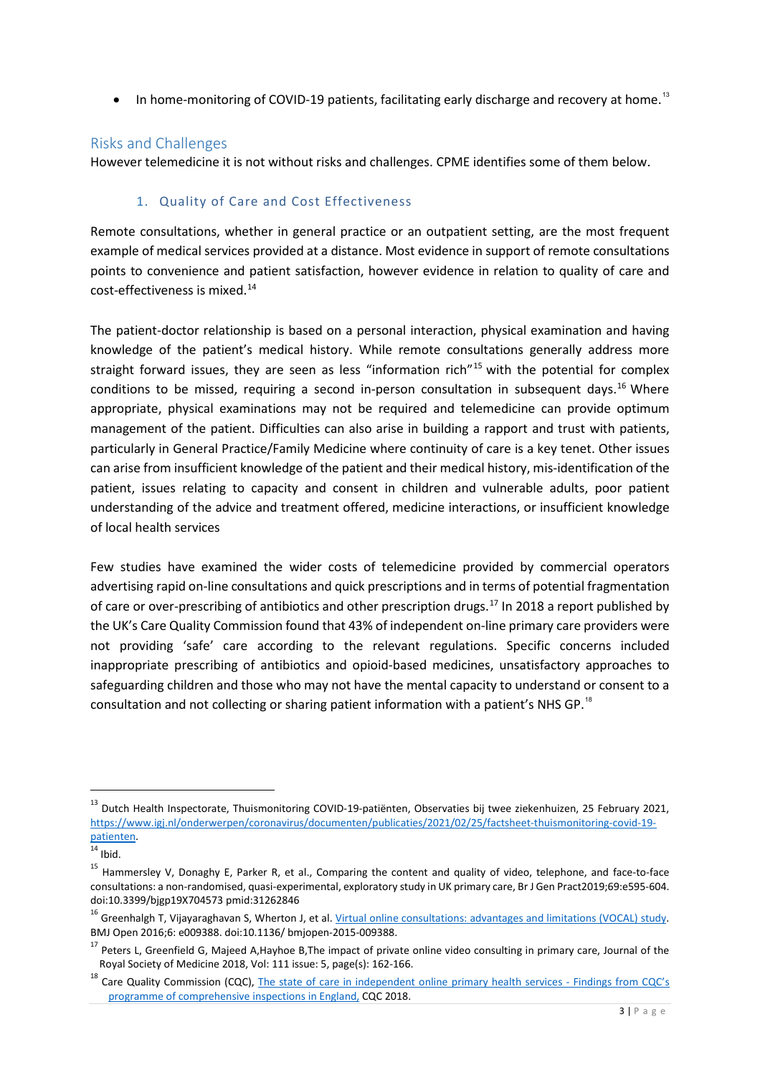• In home-monitoring of COVID-19 patients, facilitating early discharge and recovery at home.<sup>[13](#page-2-0)</sup>

### Risks and Challenges

However telemedicine it is not without risks and challenges. CPME identifies some of them below.

#### 1. Quality of Care and Cost Effectiveness

Remote consultations, whether in general practice or an outpatient setting, are the most frequent example of medical services provided at a distance. Most evidence in support of remote consultations points to convenience and patient satisfaction, however evidence in relation to quality of care and cost-effectiveness is mixed.[14](#page-2-1)

The patient-doctor relationship is based on a personal interaction, physical examination and having knowledge of the patient's medical history. While remote consultations generally address more straight forward issues, they are seen as less "information rich"<sup>[15](#page-2-2)</sup> with the potential for complex conditions to be missed, requiring a second in-person consultation in subsequent days.<sup>[16](#page-2-3)</sup> Where appropriate, physical examinations may not be required and telemedicine can provide optimum management of the patient. Difficulties can also arise in building a rapport and trust with patients, particularly in General Practice/Family Medicine where continuity of care is a key tenet. Other issues can arise from insufficient knowledge of the patient and their medical history, mis-identification of the patient, issues relating to capacity and consent in children and vulnerable adults, poor patient understanding of the advice and treatment offered, medicine interactions, or insufficient knowledge of local health services

Few studies have examined the wider costs of telemedicine provided by commercial operators advertising rapid on-line consultations and quick prescriptions and in terms of potential fragmentation of care or over-prescribing of antibiotics and other prescription drugs.<sup>[17](#page-2-4)</sup> In 2018 a report published by the UK's Care Quality Commission found that 43% of independent on-line primary care providers were not providing 'safe' care according to the relevant regulations. Specific concerns included inappropriate prescribing of antibiotics and opioid-based medicines, unsatisfactory approaches to safeguarding children and those who may not have the mental capacity to understand or consent to a consultation and not collecting or sharing patient information with a patient's NHS GP.<sup>[18](#page-2-5)</sup>

<span id="page-2-0"></span><sup>&</sup>lt;sup>13</sup> Dutch Health Inspectorate, Thuismonitoring COVID-19-patiënten, Observaties bij twee ziekenhuizen, 25 February 2021, [https://www.igj.nl/onderwerpen/coronavirus/documenten/publicaties/2021/02/25/factsheet-thuismonitoring-covid-19](https://www.igj.nl/onderwerpen/coronavirus/documenten/publicaties/2021/02/25/factsheet-thuismonitoring-covid-19-patienten) patienten.<br><sup>14</sup> Ibid.

<span id="page-2-1"></span>

<span id="page-2-2"></span><sup>&</sup>lt;sup>15</sup> Hammersley V, Donaghy E, Parker R, et al., Comparing the content and quality of video, telephone, and face-to-face consultations: a non-randomised, quasi-experimental, exploratory study in UK primary care, Br J Gen Pract2019;69:e595-604.<br>doi:10.3399/bjgp19X704573 pmid:31262846

<span id="page-2-3"></span><sup>&</sup>lt;sup>16</sup> Greenhalgh T, Vijayaraghavan S, Wherton J, et al. <u>Virtual online consultations: advantages and limitations (VOCAL) study</u>. BMJ Open 2016;6: e009388. doi:10.1136/ bmjopen-2015-009388.

<span id="page-2-4"></span><sup>&</sup>lt;sup>17</sup> Peters L, Greenfield G, Majeed A,Hayhoe B,The impact of private online video consulting in primary care, Journal of the Royal Society of Medicine 2018, Vol: 111 issue: 5, page(s): 162-166.

<span id="page-2-5"></span><sup>&</sup>lt;sup>18</sup> Care Quality Commission (CQC), [The state of care in independent online primary health services -](https://www.cqc.org.uk/publications/major-report/state-care-independent-online-primary-health-services) Findings from CQC's [programme of comprehensive inspections in England,](https://www.cqc.org.uk/publications/major-report/state-care-independent-online-primary-health-services) CQC 2018.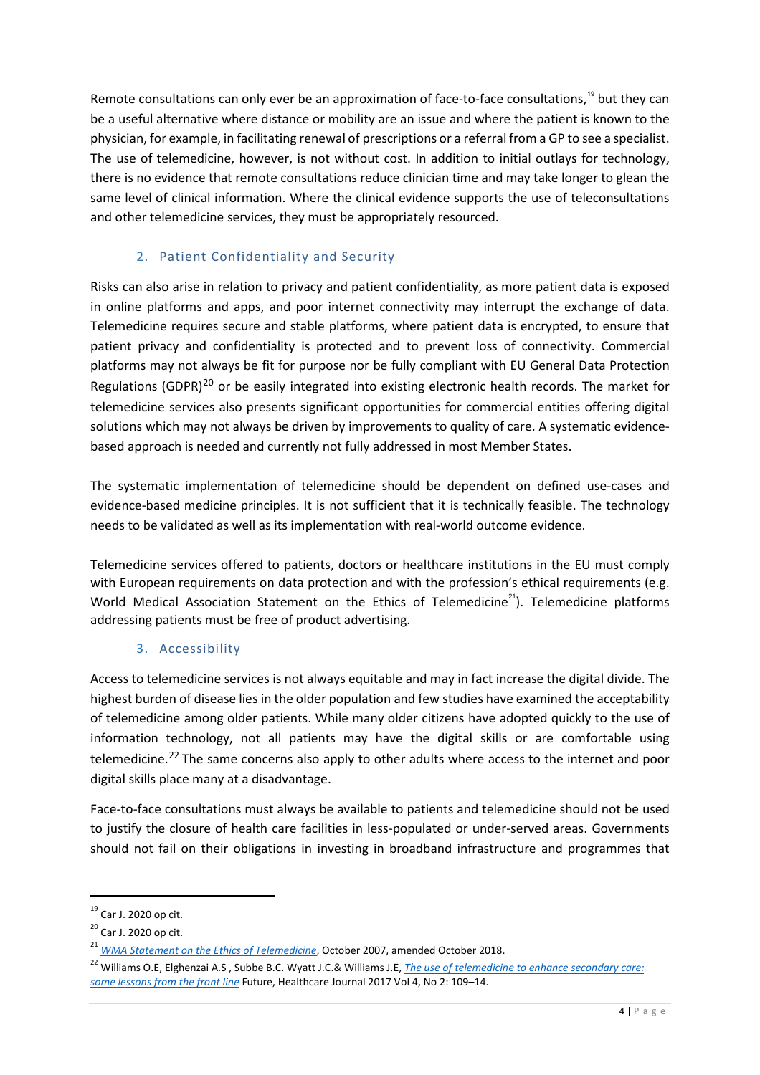Remote consultations can only ever be an approximation of face-to-face consultations,<sup>[19](#page-3-0)</sup> but they can be a useful alternative where distance or mobility are an issue and where the patient is known to the physician, for example, in facilitating renewal of prescriptions or a referral from a GP to see a specialist. The use of telemedicine, however, is not without cost. In addition to initial outlays for technology, there is no evidence that remote consultations reduce clinician time and may take longer to glean the same level of clinical information. Where the clinical evidence supports the use of teleconsultations and other telemedicine services, they must be appropriately resourced.

### 2. Patient Confidentiality and Security

Risks can also arise in relation to privacy and patient confidentiality, as more patient data is exposed in online platforms and apps, and poor internet connectivity may interrupt the exchange of data. Telemedicine requires secure and stable platforms, where patient data is encrypted, to ensure that patient privacy and confidentiality is protected and to prevent loss of connectivity. Commercial platforms may not always be fit for purpose nor be fully compliant with EU General Data Protection Regulations (GDPR)<sup>[20](#page-3-1)</sup> or be easily integrated into existing electronic health records. The market for telemedicine services also presents significant opportunities for commercial entities offering digital solutions which may not always be driven by improvements to quality of care. A systematic evidencebased approach is needed and currently not fully addressed in most Member States.

The systematic implementation of telemedicine should be dependent on defined use-cases and evidence-based medicine principles. It is not sufficient that it is technically feasible. The technology needs to be validated as well as its implementation with real-world outcome evidence.

Telemedicine services offered to patients, doctors or healthcare institutions in the EU must comply with European requirements on data protection and with the profession's ethical requirements (e.g. World Medical Association Statement on the Ethics of Telemedicine<sup>[21](#page-3-2)</sup>). Telemedicine platforms addressing patients must be free of product advertising.

### 3. Accessibility

Access to telemedicine services is not always equitable and may in fact increase the digital divide. The highest burden of disease lies in the older population and few studies have examined the acceptability of telemedicine among older patients. While many older citizens have adopted quickly to the use of information technology, not all patients may have the digital skills or are comfortable using telemedicine.<sup>[22](#page-3-3)</sup> The same concerns also apply to other adults where access to the internet and poor digital skills place many at a disadvantage.

Face-to-face consultations must always be available to patients and telemedicine should not be used to justify the closure of health care facilities in less-populated or under-served areas. Governments should not fail on their obligations in investing in broadband infrastructure and programmes that

<span id="page-3-0"></span><sup>19</sup> Car J. 2020 op cit.

<span id="page-3-1"></span><sup>&</sup>lt;sup>20</sup> Car J. 2020 op cit.

<span id="page-3-2"></span><sup>&</sup>lt;sup>21</sup> *[WMA Statement on the Ethics of Telemedicine](https://www.wma.net/policies-post/wma-statement-on-the-ethics-of-telemedicine/)*, October 2007, amended October 2018.

<span id="page-3-3"></span><sup>22</sup> Williams O.E, Elghenzai A.S , Subbe B.C. Wyatt J.C.& Williams J.E, *[The use of telemedicine to enhance secondary care:](https://www.ncbi.nlm.nih.gov/pmc/articles/PMC6502630/) [some lessons from the front line](https://www.ncbi.nlm.nih.gov/pmc/articles/PMC6502630/)* Future, Healthcare Journal 2017 Vol 4, No 2: 109–14.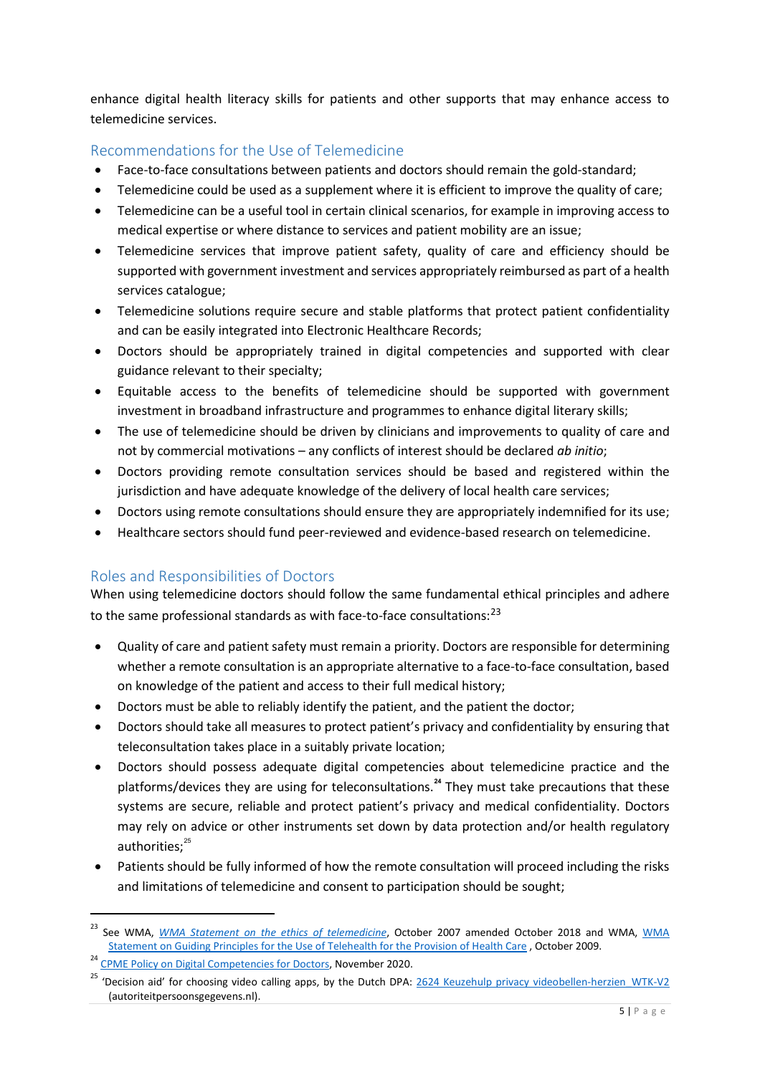enhance digital health literacy skills for patients and other supports that may enhance access to telemedicine services.

## Recommendations for the Use of Telemedicine

- Face-to-face consultations between patients and doctors should remain the gold-standard;
- Telemedicine could be used as a supplement where it is efficient to improve the quality of care;
- Telemedicine can be a useful tool in certain clinical scenarios, for example in improving access to medical expertise or where distance to services and patient mobility are an issue;
- Telemedicine services that improve patient safety, quality of care and efficiency should be supported with government investment and services appropriately reimbursed as part of a health services catalogue;
- Telemedicine solutions require secure and stable platforms that protect patient confidentiality and can be easily integrated into Electronic Healthcare Records;
- Doctors should be appropriately trained in digital competencies and supported with clear guidance relevant to their specialty;
- Equitable access to the benefits of telemedicine should be supported with government investment in broadband infrastructure and programmes to enhance digital literary skills;
- The use of telemedicine should be driven by clinicians and improvements to quality of care and not by commercial motivations – any conflicts of interest should be declared *ab initio*;
- Doctors providing remote consultation services should be based and registered within the jurisdiction and have adequate knowledge of the delivery of local health care services;
- Doctors using remote consultations should ensure they are appropriately indemnified for its use;
- Healthcare sectors should fund peer-reviewed and evidence-based research on telemedicine.

# Roles and Responsibilities of Doctors

When using telemedicine doctors should follow the same fundamental ethical principles and adhere to the same professional standards as with face-to-face consultations:<sup>[23](#page-4-0)</sup>

- Quality of care and patient safety must remain a priority. Doctors are responsible for determining whether a remote consultation is an appropriate alternative to a face-to-face consultation, based on knowledge of the patient and access to their full medical history;
- Doctors must be able to reliably identify the patient, and the patient the doctor;
- Doctors should take all measures to protect patient's privacy and confidentiality by ensuring that teleconsultation takes place in a suitably private location;
- Doctors should possess adequate digital competencies about telemedicine practice and the platforms/devices they are using for teleconsultations. **[24](#page-4-1)** They must take precautions that these systems are secure, reliable and protect patient's privacy and medical confidentiality. Doctors may rely on advice or other instruments set down by data protection and/or health regulatory authorities; [25](#page-4-2)
- Patients should be fully informed of how the remote consultation will proceed including the risks and limitations of telemedicine and consent to participation should be sought;

<span id="page-4-0"></span>See WMA, *[WMA Statement on the ethics of telemedicine](https://www.wma.net/policies-post/wma-statement-on-the-ethics-of-telemedicine/)*, October 2007 amended October 2018 and WMA, *WMA* [Statement on Guiding Principles for the Use of Telehealth for the Provision of Health Care](https://www.wma.net/policies-post/wma-statement-on-guiding-principles-for-the-use-of-telehealth-for-the-provision-of-health-care/) , October 2009.

<span id="page-4-2"></span><span id="page-4-1"></span><sup>&</sup>lt;sup>24</sup> [CPME Policy on Digital Competencies for Doctors,](https://www.cpme.eu/index.php?downloadunprotected=/uploads/adopted/2020/11/CPME_AD_Board_21112020_100.FINAL_.CPME_.Policy.Digital.Competencies.for_.Doctors.pdf) November 2020.

<sup>&#</sup>x27;Decision aid' for choosing video calling apps, by the Dutch DPA: [2624 Keuzehulp privacy videobellen-herzien\\_WTK-V2](https://autoriteitpersoonsgegevens.nl/sites/default/files/atoms/files/keuzehulp_privacy_en_videobellen.pdf) (autoriteitpersoonsgegevens.nl).